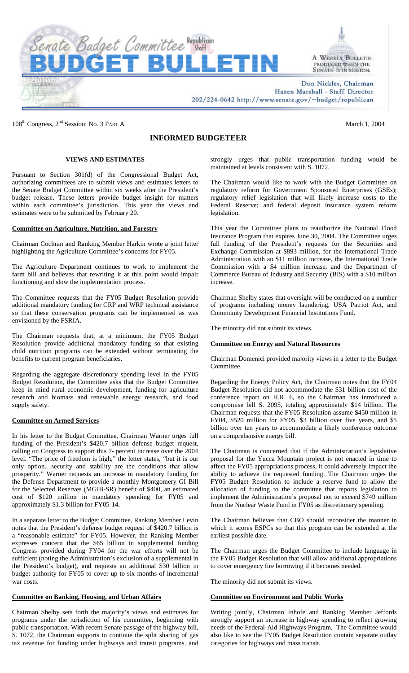

A WEEKLY BULLETIN PRODUCED WHEN THE SENATE IS IN SESSION.

Don Nickles, Chairman Hazen Marshall - Staff Director 202/224-0642 http://www.senate.gov/~budget/republican

108<sup>th</sup> Congress, 2<sup>nd</sup> Session: No. 3 PART A March 1, 2004

# **INFORMED BUDGETEER**

## **VIEWS AND ESTIMATES**

Pursuant to Section 301(d) of the Congressional Budget Act, authorizing committees are to submit views and estimates letters to the Senate Budget Committee within six weeks after the President's budget release. These letters provide budget insight for matters within each committee's jurisdiction. This year the views and estimates were to be submitted by February 20.

## **Committee on Agriculture, Nutrition, and Forestry**

Chairman Cochran and Ranking Member Harkin wrote a joint letter highlighting the Agriculture Committee's concerns for FY05.

The Agriculture Department continues to work to implement the farm bill and believes that rewriting it at this point would impair functioning and slow the implementation process.

The Committee requests that the FY05 Budget Resolution provide additional mandatory funding for CRP and WRP technical assistance so that these conservation programs can be implemented as was envisioned by the FSRIA.

The Chairman requests that, at a minimum, the FY05 Budget Resolution provide additional mandatory funding so that existing child nutrition programs can be extended without terminating the benefits to current program beneficiaries.

Regarding the aggregate discretionary spending level in the FY05 Budget Resolution, the Committee asks that the Budget Committee keep in mind rural economic development, funding for agriculture research and biomass and renewable energy research, and food supply safety.

## **Committee on Armed Services**

In his letter to the Budget Committee, Chairman Warner urges full funding of the President's \$420.7 billion defense budget request, calling on Congress to support this 7- percent increase over the 2004 level. "The price of freedom is high," the letter states, "but it is our only option…security and stability are the conditions that allow prosperity." Warner requests an increase in mandatory funding for the Defense Department to provide a monthly Montgomery GI Bill for the Selected Reserves (MGIB-SR) benefit of \$400, an estimated cost of \$120 million in mandatory spending for FY05 and approximately \$1.3 billion for FY05-14.

In a separate letter to the Budget Committee, Ranking Member Levin notes that the President's defense budget request of \$420.7 billion is a "reasonable estimate" for FY05. However, the Ranking Member expresses concern that the \$65 billion in supplemental funding Congress provided during FY04 for the war efforts will not be sufficient (noting the Administration's exclusion of a supplemental in the President's budget), and requests an additional \$30 billion in budget authority for FY05 to cover up to six months of incremental war costs.

## **Committee on Banking, Housing, and Urban Affairs**

Chairman Shelby sets forth the majority's views and estimates for programs under the jurisdiction of his committee, beginning with public transportation. With recent Senate passage of the highway bill, S. 1072, the Chairman supports to continue the split sharing of gas tax revenue for funding under highways and transit programs, and

strongly urges that public transportation funding would be maintained at levels consistent with S. 1072.

The Chairman would like to work with the Budget Committee on regulatory reform for Government Sponsored Enterprises (GSEs); regulatory relief legislation that will likely increase costs to the Federal Reserve; and federal deposit insurance system reform legislation.

This year the Committee plans to reauthorize the National Flood Insurance Program that expires June 30, 2004. The Committee urges full funding of the President's requests for the Securities and Exchange Commission at \$893 million, for the International Trade Administration with an \$11 million increase, the International Trade Commission with a \$4 million increase, and the Department of Commerce Bureau of Industry and Security (BIS) with a \$10 million increase.

Chairman Shelby states that oversight will be conducted on a number of programs including money laundering, USA Patriot Act, and Community Development Financial Institutions Fund.

The minority did not submit its views.

## **Committee on Energy and Natural Resources**

Chairman Domenici provided majority views in a letter to the Budget **Committee** 

Regarding the Energy Policy Act, the Chairman notes that the FY04 Budget Resolution did not accommodate the \$31 billion cost of the conference report on H.R. 6, so the Chairman has introduced a compromise bill S. 2095, totaling approximately \$14 billion. The Chairman requests that the FY05 Resolution assume \$450 million in FY04, \$520 million for FY05, \$3 billion over five years, and \$5 billion over ten years to accommodate a likely conference outcome on a comprehensive energy bill.

The Chairman is concerned that if the Administration's legislative proposal for the Yucca Mountain project is not enacted in time to affect the FY05 appropriations process, it could adversely impact the ability to achieve the requested funding. The Chairman urges the FY05 Budget Resolution to include a reserve fund to allow the allocation of funding to the committee that reports legislation to implement the Administration's proposal not to exceed \$749 million from the Nuclear Waste Fund in FY05 as discretionary spending.

The Chairman believes that CBO should reconsider the manner in which it scores ESPCs so that this program can be extended at the earliest possible date.

The Chairman urges the Budget Committee to include language in the FY05 Budget Resolution that will allow additional appropriations to cover emergency fire borrowing if it becomes needed.

The minority did not submit its views.

## **Committee on Environment and Public Works**

Writing jointly, Chairman Inhofe and Ranking Member Jeffords strongly support an increase in highway spending to reflect growing needs of the Federal-Aid Highways Program. The Committee would also like to see the FY05 Budget Resolution contain separate outlay categories for highways and mass transit.